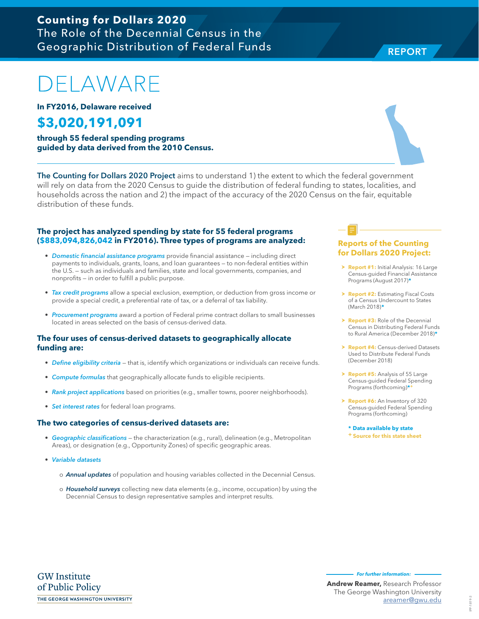#### **GW** Institute of Public Policy THE GEORGE WASHINGTON UNIVERSITY

### IPP-1819-3 IPP-1819-3

## **Counting for Dollars 2020**  The Role of the Decennial Census in the Geographic Distribution of Federal Funds

# ELAWARE

**In FY2016, Delaware received**

# **\$3,020,191,091**

**through 55 federal spending programs guided by data derived from the 2010 Census.**

The Counting for Dollars 2020 Project aims to understand 1) the extent to which the federal government will rely on data from the 2020 Census to guide the distribution of federal funding to states, localities, and households across the nation and 2) the impact of the accuracy of the 2020 Census on the fair, equitable distribution of these funds.

#### **The project has analyzed spending by state for 55 federal programs (\$883,094,826,042 in FY2016). Three types of programs are analyzed:**

- Domestic financial assistance programs provide financial assistance including direct payments to individuals, grants, loans, and loan guarantees — to non-federal entities within the U.S. — such as individuals and families, state and local governments, companies, and nonprofits — in order to fulfill a public purpose.
- Tax credit programs allow a special exclusion, exemption, or deduction from gross income or provide a special credit, a preferential rate of tax, or a deferral of tax liability.
- Procurement programs award a portion of Federal prime contract dollars to small businesses located in areas selected on the basis of census-derived data.

#### **The four uses of census-derived datasets to geographically allocate funding are:**

- Define eligibility criteria that is, identify which organizations or individuals can receive funds.
- Compute formulas that geographically allocate funds to eligible recipients.
- Rank project applications based on priorities (e.g., smaller towns, poorer neighborhoods).
- Set interest rates for federal loan programs.

#### **The two categories of census-derived datasets are:**

- Geographic classifications the characterization (e.g., rural), delineation (e.g., Metropolitan Areas), or designation (e.g., Opportunity Zones) of specific geographic areas.
- Variable datasets
	- o **Annual updates** of population and housing variables collected in the Decennial Census.
	- o Household surveys collecting new data elements (e.g., income, occupation) by using the Decennial Census to design representative samples and interpret results.

#### **Reports of the Counting for Dollars 2020 Project:**

- **> Report #1:** Initial Analysis: 16 Large Census-guided Financial Assistance Programs (August 2017)**\***
- **h Report #2: Estimating Fiscal Costs** of a Census Undercount to States (March 2018)**\***
- **Report #3:** Role of the Decennial Census in Distributing Federal Funds to Rural America (December 2018)**\***
- **Report #4: Census-derived Datasets** Used to Distribute Federal Funds (December 2018)
- > **Report #5:** Analysis of 55 Large Census-guided Federal Spending Programs (forthcoming)**\*+**
- h **Report #6:** An Inventory of 320 Census-guided Federal Spending Programs (forthcoming)

**\* Data available by state + Source for this state sheet**

**Andrew Reamer,** Research Professor The George Washington University

**For further information:** 

areamer@gwu.edu



**REPORT** REPORT